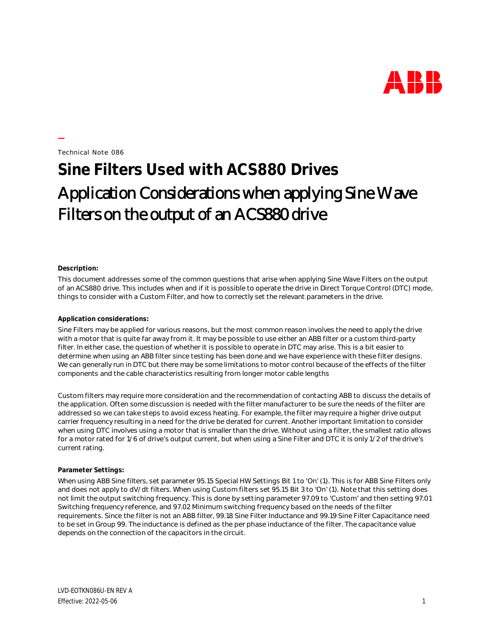

Technical Note 086

**—**

## **Sine Filters Used with ACS880 Drives** Application Considerations when applying Sine Wave Filters on the output of an ACS880 drive

## **Description:**

This document addresses some of the common questions that arise when applying Sine Wave Filters on the output of an ACS880 drive. This includes when and if it is possible to operate the drive in Direct Torque Control (DTC) mode, things to consider with a Custom Filter, and how to correctly set the relevant parameters in the drive.

## **Application considerations:**

Sine Filters may be applied for various reasons, but the most common reason involves the need to apply the drive with a motor that is quite far away from it. It may be possible to use either an ABB filter or a custom third-party filter. In either case, the question of whether it is possible to operate in DTC may arise. This is a bit easier to determine when using an ABB filter since testing has been done and we have experience with these filter designs. We can generally run in DTC but there may be some limitations to motor control because of the effects of the filter components and the cable characteristics resulting from longer motor cable lengths

Custom filters may require more consideration and the recommendation of contacting ABB to discuss the details of the application. Often some discussion is needed with the filter manufacturer to be sure the needs of the filter are addressed so we can take steps to avoid excess heating. For example, the filter may require a higher drive output carrier frequency resulting in a need for the drive be derated for current. Another important limitation to consider when using DTC involves using a motor that is smaller than the drive. Without using a filter, the smallest ratio allows for a motor rated for 1/6 of drive's output current, but when using a Sine Filter and DTC it is only 1/2 of the drive's current rating.

## **Parameter Settings:**

When using ABB Sine filters, set parameter 95.15 Special HW Settings Bit 1 to 'On' (1). This is for ABB Sine Filters only and does not apply to dV/dt filters. When using Custom filters set 95.15 Bit 3 to 'On' (1). Note that this setting does not limit the output switching frequency. This is done by setting parameter 97.09 to 'Custom' and then setting 97.01 Switching frequency reference, and 97.02 Minimum switching frequency based on the needs of the filter requirements. Since the filter is not an ABB filter, 99.18 Sine Filter Inductance and 99.19 Sine Filter Capacitance need to be set in Group 99. The inductance is defined as the per phase inductance of the filter. The capacitance value depends on the connection of the capacitors in the circuit.